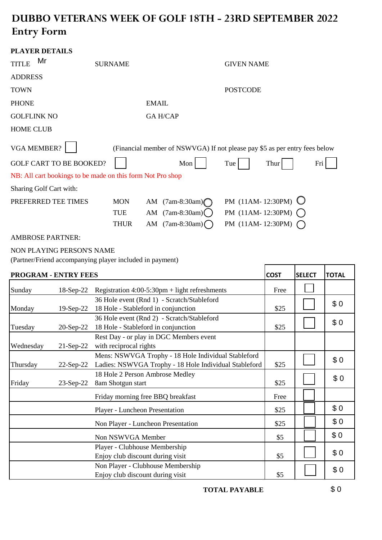## **DUBBO VETERANS WEEK OF GOLF 18TH - 23RD SEPTEMBER 2022 Entry Form**

|                    | <b>PLAYER DETAILS</b>                                                                 |                |              |                                                                            |                       |      |         |     |
|--------------------|---------------------------------------------------------------------------------------|----------------|--------------|----------------------------------------------------------------------------|-----------------------|------|---------|-----|
| <b>TITLE</b>       | Mr                                                                                    | <b>SURNAME</b> |              |                                                                            | <b>GIVEN NAME</b>     |      |         |     |
| <b>ADDRESS</b>     |                                                                                       |                |              |                                                                            |                       |      |         |     |
| TOWN               |                                                                                       |                |              |                                                                            | <b>POSTCODE</b>       |      |         |     |
| <b>PHONE</b>       |                                                                                       |                | <b>EMAIL</b> |                                                                            |                       |      |         |     |
| <b>GOLFLINK NO</b> |                                                                                       |                |              | <b>GA H/CAP</b>                                                            |                       |      |         |     |
| <b>HOME CLUB</b>   |                                                                                       |                |              |                                                                            |                       |      |         |     |
|                    | <b>VGA MEMBER?</b>                                                                    |                |              | (Financial member of NSWVGA) If not please pay \$5 as per entry fees below |                       |      |         |     |
|                    | <b>GOLF CART TO BE BOOKED?</b>                                                        |                |              | Mon                                                                        | Tue                   | Thur |         | Fri |
|                    | NB: All cart bookings to be made on this form Not Pro shop                            |                |              |                                                                            |                       |      |         |     |
|                    | <b>Sharing Golf Cart with:</b>                                                        |                |              |                                                                            |                       |      |         |     |
|                    | PREFERRED TEE TIMES                                                                   | <b>MON</b>     | AM           | $(7am-8:30am)$                                                             | PM $(11AM-12:30PM)$   |      |         |     |
|                    |                                                                                       | TUE            |              | AM $(7am-8:30am)$ ()                                                       | PM (11AM-12:30PM)     |      |         |     |
|                    |                                                                                       | <b>THUR</b>    |              | AM $(7am-8:30am)$                                                          | PM $(11AM - 12:30PM)$ |      |         |     |
|                    | <b>AMBROSE PARTNER:</b>                                                               |                |              |                                                                            |                       |      |         |     |
|                    | NON PLAYING PERSON'S NAME<br>(Partner/Friend accompanying player included in payment) |                |              |                                                                            |                       |      |         |     |
|                    | PROCRAM _ FNTPV FFFC                                                                  |                |              |                                                                            |                       | COST | SEI ECT | ᆩᇚ  |

|           | <b>PROGRAM - ENTRY FEES</b> |                                                                                                              | <b>COST</b> | <b>SELECT</b> | <b>TOTAL</b> |
|-----------|-----------------------------|--------------------------------------------------------------------------------------------------------------|-------------|---------------|--------------|
| Sunday    | 18-Sep-22                   | Registration $4:00-5:30$ pm + light refreshments                                                             | Free        |               |              |
| Monday    | $19-Sep-22$                 | 36 Hole event (Rnd 1) - Scratch/Stableford<br>18 Hole - Stableford in conjunction                            | \$25        |               | \$0          |
| Tuesday   | $20-Sep-22$                 | 36 Hole event (Rnd 2) - Scratch/Stableford<br>18 Hole - Stableford in conjunction                            | \$25        |               | \$0          |
| Wednesday | $21-Sep-22$                 | Rest Day - or play in DGC Members event<br>with reciprocal rights                                            |             |               |              |
| Thursday  | 22-Sep-22                   | Mens: NSWVGA Trophy - 18 Hole Individual Stableford<br>Ladies: NSWVGA Trophy - 18 Hole Individual Stableford | \$25        |               | \$0          |
| Friday    | 23-Sep-22                   | 18 Hole 2 Person Ambrose Medley<br>8am Shotgun start                                                         | \$25        |               | \$0          |
|           |                             | Friday morning free BBQ breakfast                                                                            | Free        |               |              |
|           |                             | Player - Luncheon Presentation                                                                               | \$25        |               | \$0          |
|           |                             | Non Player - Luncheon Presentation                                                                           | \$25        |               | \$0          |
|           |                             | Non NSWVGA Member                                                                                            | \$5         |               | \$0          |
|           |                             | Player - Clubhouse Membership<br>Enjoy club discount during visit                                            | \$5         |               | \$0          |
|           |                             | Non Player - Clubhouse Membership<br>Enjoy club discount during visit                                        | \$5         |               | \$0          |